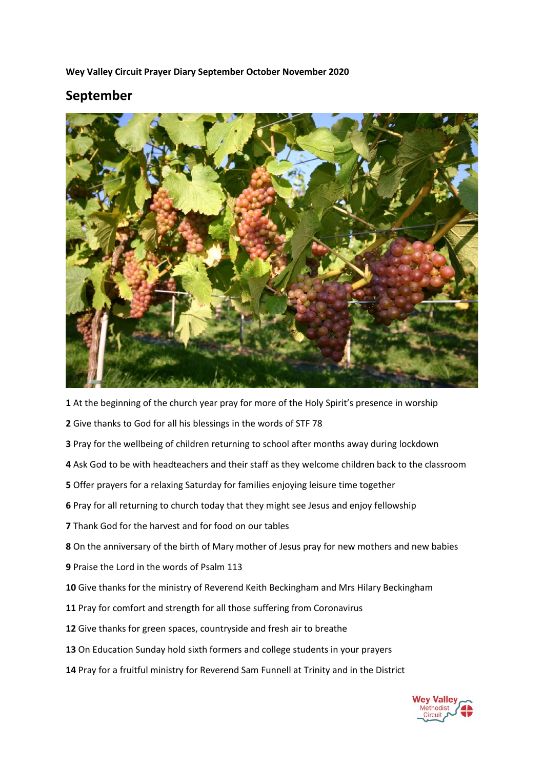**Wey Valley Circuit Prayer Diary September October November 2020**

## **September**



At the beginning of the church year pray for more of the Holy Spirit's presence in worship

- Give thanks to God for all his blessings in the words of STF 78
- Pray for the wellbeing of children returning to school after months away during lockdown
- Ask God to be with headteachers and their staff as they welcome children back to the classroom
- Offer prayers for a relaxing Saturday for families enjoying leisure time together
- Pray for all returning to church today that they might see Jesus and enjoy fellowship
- Thank God for the harvest and for food on our tables
- On the anniversary of the birth of Mary mother of Jesus pray for new mothers and new babies
- Praise the Lord in the words of Psalm 113
- Give thanks for the ministry of Reverend Keith Beckingham and Mrs Hilary Beckingham
- Pray for comfort and strength for all those suffering from Coronavirus
- Give thanks for green spaces, countryside and fresh air to breathe
- On Education Sunday hold sixth formers and college students in your prayers
- Pray for a fruitful ministry for Reverend Sam Funnell at Trinity and in the District